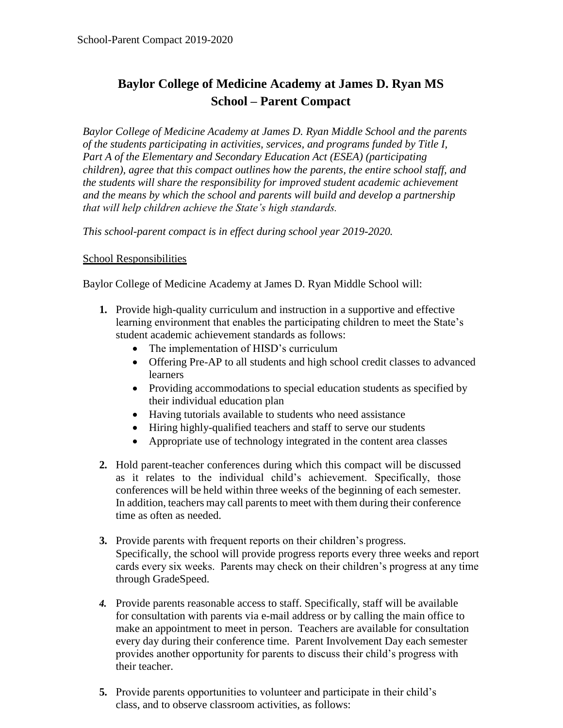## **Baylor College of Medicine Academy at James D. Ryan MS School – Parent Compact**

*Baylor College of Medicine Academy at James D. Ryan Middle School and the parents of the students participating in activities, services, and programs funded by Title I, Part A of the Elementary and Secondary Education Act (ESEA) (participating children), agree that this compact outlines how the parents, the entire school staff, and the students will share the responsibility for improved student academic achievement and the means by which the school and parents will build and develop a partnership that will help children achieve the State's high standards.*

*This school-parent compact is in effect during school year 2019-2020.*

## School Responsibilities

Baylor College of Medicine Academy at James D. Ryan Middle School will:

- **1.** Provide high-quality curriculum and instruction in a supportive and effective learning environment that enables the participating children to meet the State's student academic achievement standards as follows:
	- The implementation of HISD's curriculum
	- Offering Pre-AP to all students and high school credit classes to advanced learners
	- Providing accommodations to special education students as specified by their individual education plan
	- Having tutorials available to students who need assistance
	- Hiring highly-qualified teachers and staff to serve our students
	- Appropriate use of technology integrated in the content area classes
- **2.** Hold parent-teacher conferences during which this compact will be discussed as it relates to the individual child's achievement. Specifically, those conferences will be held within three weeks of the beginning of each semester. In addition, teachers may call parents to meet with them during their conference time as often as needed.
- **3.** Provide parents with frequent reports on their children's progress. Specifically, the school will provide progress reports every three weeks and report cards every six weeks. Parents may check on their children's progress at any time through GradeSpeed.
- *4.* Provide parents reasonable access to staff. Specifically, staff will be available for consultation with parents via e-mail address or by calling the main office to make an appointment to meet in person. Teachers are available for consultation every day during their conference time. Parent Involvement Day each semester provides another opportunity for parents to discuss their child's progress with their teacher.
- **5.** Provide parents opportunities to volunteer and participate in their child's class, and to observe classroom activities, as follows: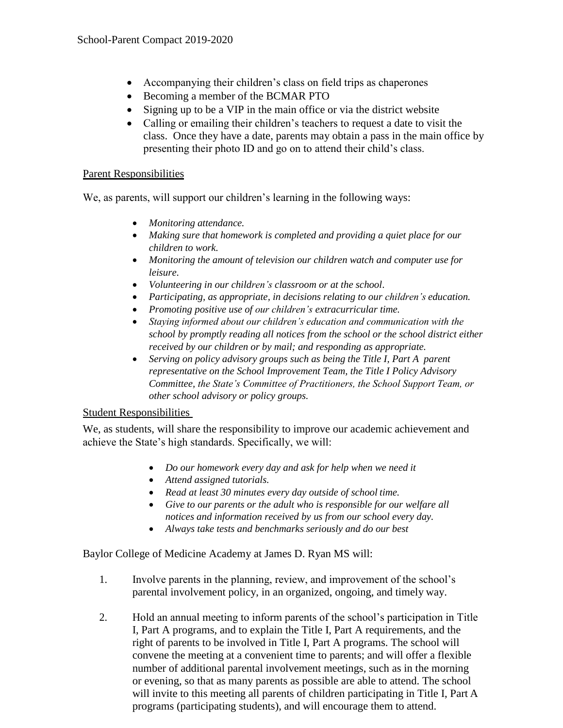- Accompanying their children's class on field trips as chaperones
- Becoming a member of the BCMAR PTO
- Signing up to be a VIP in the main office or via the district website
- Calling or emailing their children's teachers to request a date to visit the class. Once they have a date, parents may obtain a pass in the main office by presenting their photo ID and go on to attend their child's class.

## Parent Responsibilities

We, as parents, will support our children's learning in the following ways:

- *Monitoring attendance.*
- *Making sure that homework is completed and providing a quiet place for our children to work.*
- *Monitoring the amount of television our children watch and computer use for leisure*.
- *Volunteering in our children's classroom or at the school*.
- *Participating, as appropriate, in decisions relating to our children's education.*
- *Promoting positive use of our children's extracurricular time.*
- *Staying informed about our children's education and communication with the school by promptly reading all notices from the school or the school district either received by our children or by mail; and responding as appropriate.*
- *Serving on policy advisory groups such as being the Title I, Part A parent representative on the School Improvement Team, the Title I Policy Advisory Committee, the State's Committee of Practitioners, the School Support Team, or other school advisory or policy groups.*

## Student Responsibilities

We, as students, will share the responsibility to improve our academic achievement and achieve the State's high standards. Specifically, we will:

- *Do our homework every day and ask for help when we need it*
- *Attend assigned tutorials.*
- *Read at least 30 minutes every day outside of school time.*
- *Give to our parents or the adult who is responsible for our welfare all notices and information received by us from our school every day.*
- *Always take tests and benchmarks seriously and do our best*

Baylor College of Medicine Academy at James D. Ryan MS will:

- 1. Involve parents in the planning, review, and improvement of the school's parental involvement policy, in an organized, ongoing, and timely way.
- 2. Hold an annual meeting to inform parents of the school's participation in Title I, Part A programs, and to explain the Title I, Part A requirements, and the right of parents to be involved in Title I, Part A programs. The school will convene the meeting at a convenient time to parents; and will offer a flexible number of additional parental involvement meetings, such as in the morning or evening, so that as many parents as possible are able to attend. The school will invite to this meeting all parents of children participating in Title I, Part A programs (participating students), and will encourage them to attend.